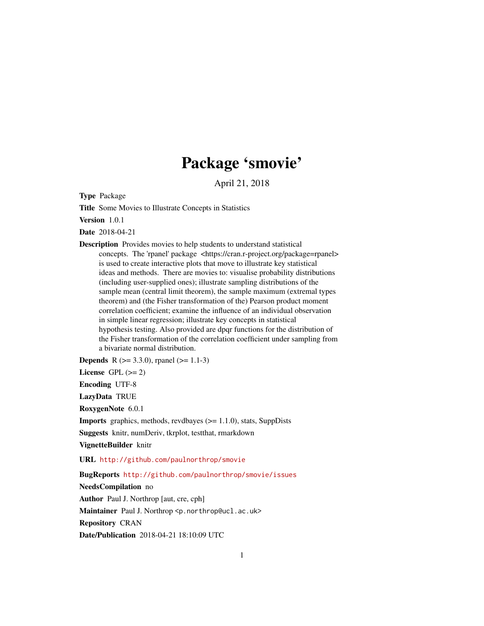# Package 'smovie'

April 21, 2018

<span id="page-0-0"></span>Type Package

Title Some Movies to Illustrate Concepts in Statistics

Version 1.0.1

Date 2018-04-21

Description Provides movies to help students to understand statistical concepts. The 'rpanel' package <https://cran.r-project.org/package=rpanel> is used to create interactive plots that move to illustrate key statistical ideas and methods. There are movies to: visualise probability distributions (including user-supplied ones); illustrate sampling distributions of the sample mean (central limit theorem), the sample maximum (extremal types theorem) and (the Fisher transformation of the) Pearson product moment correlation coefficient; examine the influence of an individual observation in simple linear regression; illustrate key concepts in statistical hypothesis testing. Also provided are dpqr functions for the distribution of the Fisher transformation of the correlation coefficient under sampling from a bivariate normal distribution.

**Depends** R  $(>= 3.3.0)$ , rpanel  $(>= 1.1-3)$ 

License GPL  $(>= 2)$ 

Encoding UTF-8

LazyData TRUE

RoxygenNote 6.0.1

Imports graphics, methods, revdbayes (>= 1.1.0), stats, SuppDists

Suggests knitr, numDeriv, tkrplot, testthat, rmarkdown

VignetteBuilder knitr

URL <http://github.com/paulnorthrop/smovie>

BugReports <http://github.com/paulnorthrop/smovie/issues>

NeedsCompilation no Author Paul J. Northrop [aut, cre, cph] Maintainer Paul J. Northrop <p.northrop@ucl.ac.uk> Repository CRAN Date/Publication 2018-04-21 18:10:09 UTC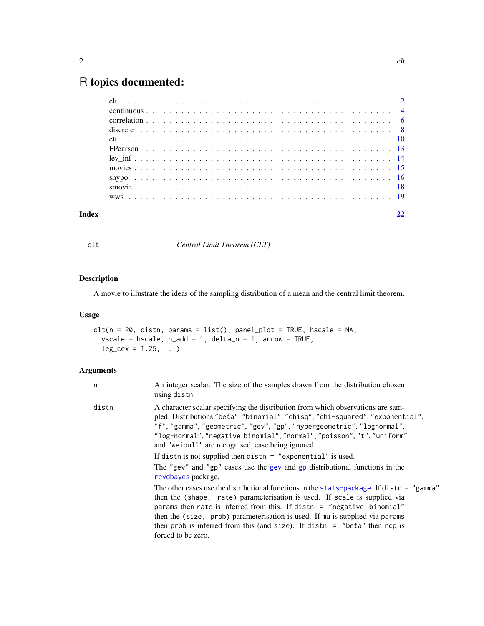# <span id="page-1-0"></span>R topics documented:

<span id="page-1-1"></span>

clt *Central Limit Theorem (CLT)*

# Description

A movie to illustrate the ideas of the sampling distribution of a mean and the central limit theorem.

# Usage

```
clt(n = 20, distn, params = list(), panel.plot = TRUE, hscale = NA,vscale = hscale, n\_add = 1, delta_n = 1, arrow = TRUE,
  leg\_cex = 1.25, ...
```

| n     | An integer scalar. The size of the samples drawn from the distribution chosen<br>using distn.                                                                                                                                                                                                                                                                                                                                         |
|-------|---------------------------------------------------------------------------------------------------------------------------------------------------------------------------------------------------------------------------------------------------------------------------------------------------------------------------------------------------------------------------------------------------------------------------------------|
| distn | A character scalar specifying the distribution from which observations are sam-<br>pled. Distributions "beta", "binomial", "chisq", "chi-squared", "exponential",<br>"f", "gamma", "geometric", "gev", "gp", "hypergeometric", "lognormal",<br>"log-normal", "negative binomial", "normal", "poisson", "t", "uniform"<br>and "weibull" are recognised, case being ignored.                                                            |
|       | If distn is not supplied then distn $=$ "exponential" is used.                                                                                                                                                                                                                                                                                                                                                                        |
|       | The "gev" and "gp" cases use the gev and gp distributional functions in the<br>revdbayes package.                                                                                                                                                                                                                                                                                                                                     |
|       | The other cases use the distributional functions in the stats-package. If distn = "gamma"<br>then the (shape, rate) parameterisation is used. If scale is supplied via<br>params then rate is inferred from this. If distn = "negative binomial"<br>then the (size, prob) parameterisation is used. If mu is supplied via params<br>then prob is inferred from this (and size). If distn $=$ "beta" then ncp is<br>forced to be zero. |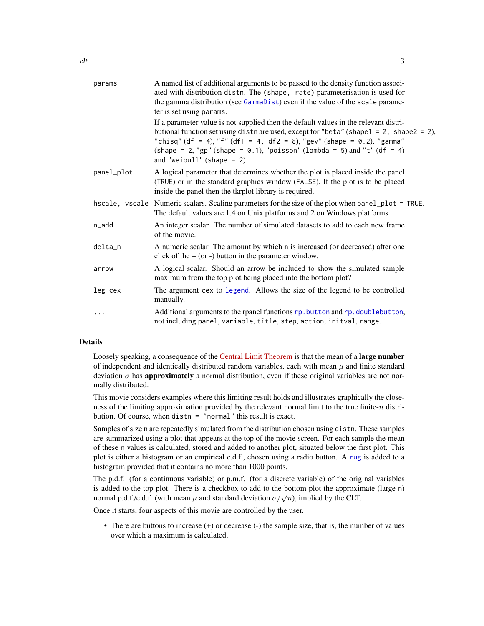<span id="page-2-0"></span>

| params     | A named list of additional arguments to be passed to the density function associ-<br>ated with distribution distn. The (shape, rate) parameterisation is used for<br>the gamma distribution (see GammaDist) even if the value of the scale parame-<br>ter is set using params.                                                                                                   |
|------------|----------------------------------------------------------------------------------------------------------------------------------------------------------------------------------------------------------------------------------------------------------------------------------------------------------------------------------------------------------------------------------|
|            | If a parameter value is not supplied then the default values in the relevant distri-<br>butional function set using distn are used, except for "beta" (shape $1 = 2$ , shape $2 = 2$ ),<br>"chisq" (df = 4), "f" (df1 = 4, df2 = 8), "gev" (shape = 0.2). "gamma"<br>(shape = 2, "gp" (shape = $0.1$ ), "poisson" (lambda = 5) and "t" (df = 4)<br>and "weibull" (shape $= 2$ ). |
| panel_plot | A logical parameter that determines whether the plot is placed inside the panel<br>(TRUE) or in the standard graphics window (FALSE). If the plot is to be placed<br>inside the panel then the tkrplot library is required.                                                                                                                                                      |
|            | hscale, vscale Numeric scalars. Scaling parameters for the size of the plot when panel_plot = TRUE.<br>The default values are 1.4 on Unix platforms and 2 on Windows platforms.                                                                                                                                                                                                  |
| n_add      | An integer scalar. The number of simulated datasets to add to each new frame<br>of the movie.                                                                                                                                                                                                                                                                                    |
| delta_n    | A numeric scalar. The amount by which n is increased (or decreased) after one<br>click of the $+$ (or -) button in the parameter window.                                                                                                                                                                                                                                         |
| arrow      | A logical scalar. Should an arrow be included to show the simulated sample<br>maximum from the top plot being placed into the bottom plot?                                                                                                                                                                                                                                       |
| leg_cex    | The argument cex to legend. Allows the size of the legend to be controlled<br>manually.                                                                                                                                                                                                                                                                                          |
| $\cdots$   | Additional arguments to the rpanel functions rp. button and rp. doublebutton,<br>not including panel, variable, title, step, action, initval, range.                                                                                                                                                                                                                             |

# Details

Loosely speaking, a consequence of the [Central Limit Theorem](https://en.wikipedia.org/wiki/Central_limit_theorem) is that the mean of a large number of independent and identically distributed random variables, each with mean  $\mu$  and finite standard deviation  $\sigma$  has **approximately** a normal distribution, even if these original variables are not normally distributed.

This movie considers examples where this limiting result holds and illustrates graphically the closeness of the limiting approximation provided by the relevant normal limit to the true finite-n distribution. Of course, when distn = "normal" this result is exact.

Samples of size n are repeatedly simulated from the distribution chosen using distn. These samples are summarized using a plot that appears at the top of the movie screen. For each sample the mean of these n values is calculated, stored and added to another plot, situated below the first plot. This plot is either a histogram or an empirical c.d.f., chosen using a radio button. A [rug](#page-0-0) is added to a histogram provided that it contains no more than 1000 points.

The p.d.f. (for a continuous variable) or p.m.f. (for a discrete variable) of the original variables is added to the top plot. There is a checkbox to add to the bottom plot the approximate (large n) is added to the top piot. There is a checkbox to add to the bottom piot the approximate p.d.f./c.d.f. (with mean  $\mu$  and standard deviation  $\sigma/\sqrt{n}$ ), implied by the CLT.

Once it starts, four aspects of this movie are controlled by the user.

• There are buttons to increase (+) or decrease (-) the sample size, that is, the number of values over which a maximum is calculated.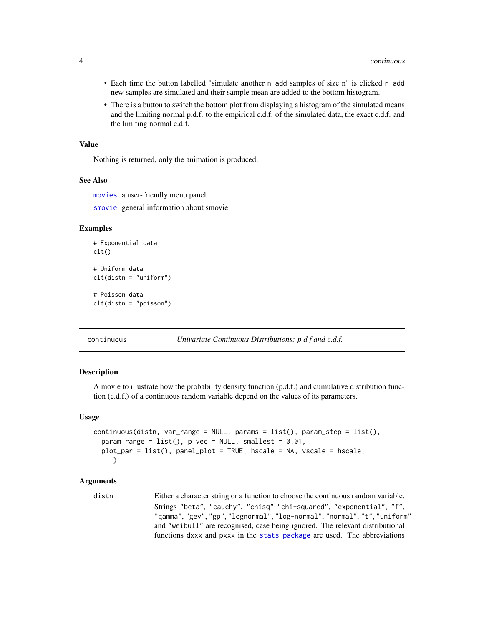- <span id="page-3-0"></span>• Each time the button labelled "simulate another n\_add samples of size n" is clicked n\_add new samples are simulated and their sample mean are added to the bottom histogram.
- There is a button to switch the bottom plot from displaying a histogram of the simulated means and the limiting normal p.d.f. to the empirical c.d.f. of the simulated data, the exact c.d.f. and the limiting normal c.d.f.

# Value

Nothing is returned, only the animation is produced.

#### See Also

[movies](#page-14-1): a user-friendly menu panel.

[smovie](#page-17-1): general information about smovie.

#### Examples

```
# Exponential data
clt()
# Uniform data
clt(distn = "uniform")
# Poisson data
clt(distn = "poisson")
```
<span id="page-3-1"></span>continuous *Univariate Continuous Distributions: p.d.f and c.d.f.*

# Description

A movie to illustrate how the probability density function (p.d.f.) and cumulative distribution function (c.d.f.) of a continuous random variable depend on the values of its parameters.

#### Usage

```
continuous(distn, var_range = NULL, params = list(), param_setp = list(),param_range = list(), p\_vec = NULL, smallest = 0.01,plot_par = list(), panel_plot = TRUE, hscale = NA, vscale = hscale,
  ...)
```

```
distn Either a character string or a function to choose the continuous random variable.
                 Strings "beta", "cauchy", "chisq" "chi-squared", "exponential", "f",
                 "gamma", "gev", "gp", "lognormal", "log-normal", "normal", "t", "uniform"
                 and "weibull" are recognised, case being ignored. The relevant distributional
                 functions dxxx and pxxx in the stats-package are used. The abbreviations
```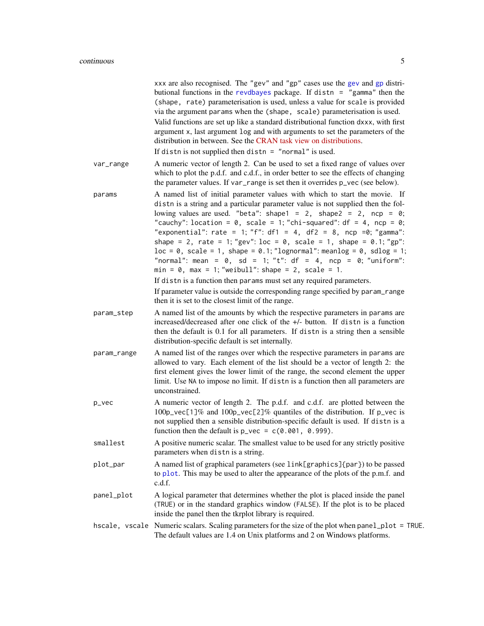<span id="page-4-0"></span>

|             | xxx are also recognised. The "gev" and "gp" cases use the gev and gp distri-<br>butional functions in the revdbayes package. If distn = "gamma" then the<br>(shape, rate) parameterisation is used, unless a value for scale is provided<br>via the argument params when the (shape, scale) parameterisation is used.<br>Valid functions are set up like a standard distributional function dxxx, with first<br>argument x, last argument log and with arguments to set the parameters of the<br>distribution in between. See the CRAN task view on distributions.<br>If distn is not supplied then distn $=$ "normal" is used.                                                                                                                                 |
|-------------|-----------------------------------------------------------------------------------------------------------------------------------------------------------------------------------------------------------------------------------------------------------------------------------------------------------------------------------------------------------------------------------------------------------------------------------------------------------------------------------------------------------------------------------------------------------------------------------------------------------------------------------------------------------------------------------------------------------------------------------------------------------------|
| var_range   | A numeric vector of length 2. Can be used to set a fixed range of values over<br>which to plot the p.d.f. and c.d.f., in order better to see the effects of changing<br>the parameter values. If var_range is set then it overrides p_vec (see below).                                                                                                                                                                                                                                                                                                                                                                                                                                                                                                          |
| params      | A named list of initial parameter values with which to start the movie. If<br>distn is a string and a particular parameter value is not supplied then the fol-<br>lowing values are used. "beta": shape1 = 2, shape2 = 2, ncp = $\theta$ ;<br>"cauchy": location = $0$ , scale = 1; "chi-squared": df = 4, ncp = $0$ ;<br>"exponential": rate = 1; "f": df1 = 4, df2 = 8, ncp =0; "gamma":<br>shape = 2, rate = 1; "gev": $loc = 0$ , scale = 1, shape = 0.1; "gp":<br>$loc = 0$ , $scale = 1$ , $shape = 0.1$ ; "lognormal": meanlog = 0, $sdlog = 1$ ;<br>"normal": mean = $0$ , sd = 1; "t": df = 4, ncp = 0; "uniform":<br>$min = 0$ , $max = 1$ ; "weibull": shape = 2, scale = 1.<br>If distn is a function then params must set any required parameters. |
|             | If parameter value is outside the corresponding range specified by param_range<br>then it is set to the closest limit of the range.                                                                                                                                                                                                                                                                                                                                                                                                                                                                                                                                                                                                                             |
| param_step  | A named list of the amounts by which the respective parameters in params are<br>increased/decreased after one click of the +/- button. If distn is a function<br>then the default is 0.1 for all parameters. If distn is a string then a sensible<br>distribution-specific default is set internally.                                                                                                                                                                                                                                                                                                                                                                                                                                                           |
| param_range | A named list of the ranges over which the respective parameters in params are<br>allowed to vary. Each element of the list should be a vector of length 2: the<br>first element gives the lower limit of the range, the second element the upper<br>limit. Use NA to impose no limit. If distn is a function then all parameters are<br>unconstrained.                                                                                                                                                                                                                                                                                                                                                                                                          |
| p_vec       | A numeric vector of length 2. The p.d.f. and c.d.f. are plotted between the<br>100p_vec[1]% and 100p_vec[2]% quantiles of the distribution. If p_vec is<br>not supplied then a sensible distribution-specific default is used. If distn is a<br>function then the default is $p_{\text{vec}} = c(0.001, 0.999)$ .                                                                                                                                                                                                                                                                                                                                                                                                                                               |
| smallest    | A positive numeric scalar. The smallest value to be used for any strictly positive<br>parameters when distn is a string.                                                                                                                                                                                                                                                                                                                                                                                                                                                                                                                                                                                                                                        |
| plot_par    | A named list of graphical parameters (see link[graphics]{par}) to be passed<br>to plot. This may be used to alter the appearance of the plots of the p.m.f. and<br>c.d.f.                                                                                                                                                                                                                                                                                                                                                                                                                                                                                                                                                                                       |
| panel_plot  | A logical parameter that determines whether the plot is placed inside the panel<br>(TRUE) or in the standard graphics window (FALSE). If the plot is to be placed<br>inside the panel then the tkrplot library is required.                                                                                                                                                                                                                                                                                                                                                                                                                                                                                                                                     |
|             | hscale, vscale Numeric scalars. Scaling parameters for the size of the plot when panel_plot = TRUE.<br>The default values are 1.4 on Unix platforms and 2 on Windows platforms.                                                                                                                                                                                                                                                                                                                                                                                                                                                                                                                                                                                 |
|             |                                                                                                                                                                                                                                                                                                                                                                                                                                                                                                                                                                                                                                                                                                                                                                 |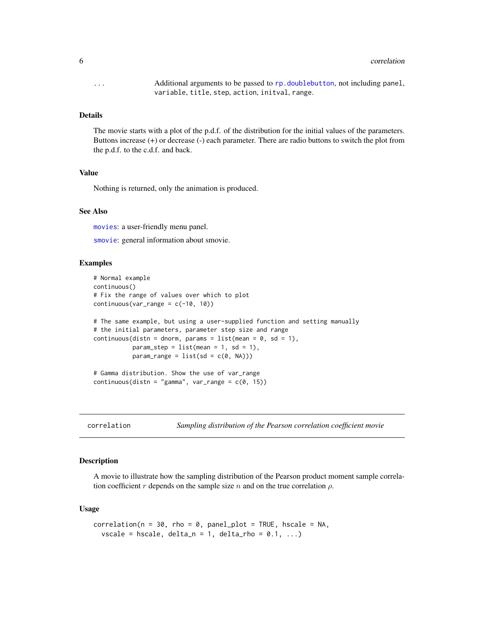<span id="page-5-0"></span>... Additional arguments to be passed to [rp.doublebutton](#page-0-0), not including panel, variable, title, step, action, initval, range.

# **Details**

The movie starts with a plot of the p.d.f. of the distribution for the initial values of the parameters. Buttons increase (+) or decrease (-) each parameter. There are radio buttons to switch the plot from the p.d.f. to the c.d.f. and back.

# Value

Nothing is returned, only the animation is produced.

# See Also

[movies](#page-14-1): a user-friendly menu panel.

[smovie](#page-17-1): general information about smovie.

# Examples

```
# Normal example
continuous()
# Fix the range of values over which to plot
continuous(var\_range = c(-10, 10))# The same example, but using a user-supplied function and setting manually
# the initial parameters, parameter step size and range
continuous(distn = dnorm, params = list(mean = 0, sd = 1),
           param\_step = list(mean = 1, sd = 1),param_range = list(sd = c(0, NA)))# Gamma distribution. Show the use of var_range
continuous(distn = "gamma", var_range = c(0, 15))
```
<span id="page-5-1"></span>

correlation *Sampling distribution of the Pearson correlation coefficient movie*

#### Description

A movie to illustrate how the sampling distribution of the Pearson product moment sample correlation coefficient r depends on the sample size n and on the true correlation  $\rho$ .

#### Usage

```
correlation(n = 30, rho = 0, panel\_plot = TRUE, baseline = NA,vscale = hscale, delta_n = 1, delta_rho = 0.1, ...)
```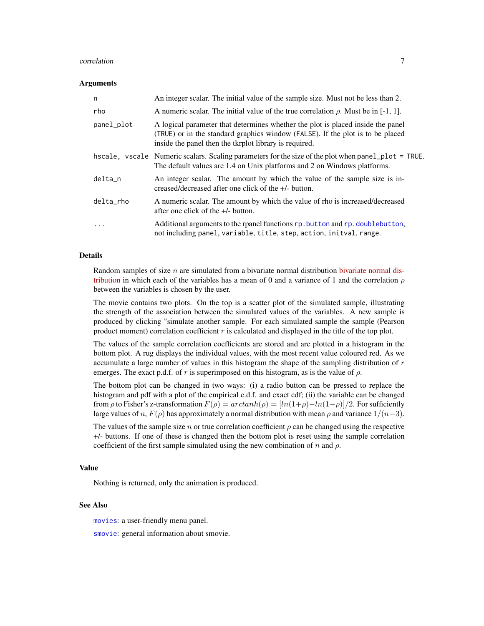#### <span id="page-6-0"></span>correlation 7

#### Arguments

| n          | An integer scalar. The initial value of the sample size. Must not be less than 2.                                                                                                                                           |
|------------|-----------------------------------------------------------------------------------------------------------------------------------------------------------------------------------------------------------------------------|
| rho        | A numeric scalar. The initial value of the true correlation $\rho$ . Must be in [-1, 1].                                                                                                                                    |
| panel_plot | A logical parameter that determines whether the plot is placed inside the panel<br>(TRUE) or in the standard graphics window (FALSE). If the plot is to be placed<br>inside the panel then the tkrplot library is required. |
|            | hscale, vscale Numeric scalars. Scaling parameters for the size of the plot when panel_plot = TRUE.<br>The default values are 1.4 on Unix platforms and 2 on Windows platforms.                                             |
| delta_n    | An integer scalar. The amount by which the value of the sample size is in-<br>creased/decreased after one click of the +/- button.                                                                                          |
| delta_rho  | A numeric scalar. The amount by which the value of rho is increased/decreased<br>after one click of the $+/-$ button.                                                                                                       |
| $\cdots$   | Additional arguments to the rpanel functions rp. but ton and rp. doublebut ton,<br>not including panel, variable, title, step, action, initval, range.                                                                      |

#### Details

Random samples of size  $n$  are simulated from a bivariate normal distribution [bivariate normal dis](https://en.wikipedia.org/wiki/Multivariate_normal_distribution)[tribution](https://en.wikipedia.org/wiki/Multivariate_normal_distribution) in which each of the variables has a mean of 0 and a variance of 1 and the correlation  $\rho$ between the variables is chosen by the user.

The movie contains two plots. On the top is a scatter plot of the simulated sample, illustrating the strength of the association between the simulated values of the variables. A new sample is produced by clicking "simulate another sample. For each simulated sample the sample (Pearson product moment) correlation coefficient  $r$  is calculated and displayed in the title of the top plot.

The values of the sample correlation coefficients are stored and are plotted in a histogram in the bottom plot. A rug displays the individual values, with the most recent value coloured red. As we accumulate a large number of values in this histogram the shape of the sampling distribution of  $r$ emerges. The exact p.d.f. of r is superimposed on this histogram, as is the value of  $\rho$ .

The bottom plot can be changed in two ways: (i) a radio button can be pressed to replace the histogram and pdf with a plot of the empirical c.d.f. and exact cdf; (ii) the variable can be changed from  $\rho$  to Fisher's z-transformation  $F(\rho) = arctanh(\rho) = [ln(1+\rho)-ln(1-\rho)]/2$ . For sufficiently large values of n,  $F(\rho)$  has approximately a normal distribution with mean  $\rho$  and variance  $1/(n-3)$ .

The values of the sample size n or true correlation coefficient  $\rho$  can be changed using the respective +/- buttons. If one of these is changed then the bottom plot is reset using the sample correlation coefficient of the first sample simulated using the new combination of n and  $\rho$ .

# Value

Nothing is returned, only the animation is produced.

# See Also

[movies](#page-14-1): a user-friendly menu panel.

[smovie](#page-17-1): general information about smovie.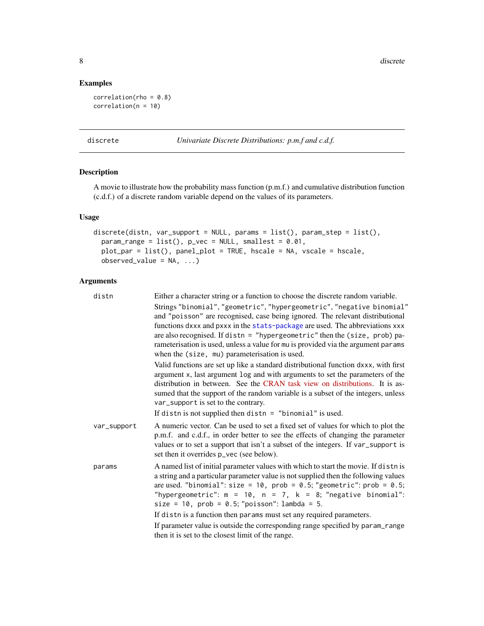8 discrete the contract of the contract of the contract of the contract of the contract of the contract of the contract of the contract of the contract of the contract of the contract of the contract of the contract of the

# Examples

```
correlation(rho = 0.8)correlation(n = 10)
```
<span id="page-7-1"></span>discrete *Univariate Discrete Distributions: p.m.f and c.d.f.*

# Description

A movie to illustrate how the probability mass function (p.m.f.) and cumulative distribution function (c.d.f.) of a discrete random variable depend on the values of its parameters.

# Usage

```
discrete(distn, var_support = NULL, params = list(), param_step = list(),
  param\_range = list(), p\_vec = NULL, smallest = 0.01,plot_par = list(), panel_plot = TRUE, hscale = NA, vscale = hscale,
 observed_value = NA, ...)
```

| distn       | Either a character string or a function to choose the discrete random variable.                                                                                                                                                                                                                                                                                                                                                                             |
|-------------|-------------------------------------------------------------------------------------------------------------------------------------------------------------------------------------------------------------------------------------------------------------------------------------------------------------------------------------------------------------------------------------------------------------------------------------------------------------|
|             | Strings "binomial", "geometric", "hypergeometric", "negative binomial"<br>and "poisson" are recognised, case being ignored. The relevant distributional<br>functions dxxx and pxxx in the stats-package are used. The abbreviations xxx<br>are also recognised. If distn = "hypergeometric" then the (size, prob) pa-<br>rameterisation is used, unless a value for mu is provided via the argument params<br>when the (size, mu) parameterisation is used. |
|             | Valid functions are set up like a standard distributional function dxxx, with first<br>argument x, last argument log and with arguments to set the parameters of the<br>distribution in between. See the CRAN task view on distributions. It is as-<br>sumed that the support of the random variable is a subset of the integers, unless<br>var_support is set to the contrary.                                                                             |
|             | If distn is not supplied then distn = "binomial" is used.                                                                                                                                                                                                                                                                                                                                                                                                   |
| var_support | A numeric vector. Can be used to set a fixed set of values for which to plot the<br>p.m.f. and c.d.f., in order better to see the effects of changing the parameter<br>values or to set a support that isn't a subset of the integers. If var_support is<br>set then it overrides $p_{\text{--}}$ vec (see below).                                                                                                                                          |
| params      | A named list of initial parameter values with which to start the movie. If distn is<br>a string and a particular parameter value is not supplied then the following values<br>are used. "binomial": size = 10, $prob = 0.5$ ; "geometric": $prob = 0.5$ ;<br>"hypergeometric": $m = 10$ , $n = 7$ , $k = 8$ ; "negative binomial":<br>size = 10, $prob = 0.5$ ; " $poisson$ ": lambda = 5.                                                                  |
|             | If distn is a function then params must set any required parameters.                                                                                                                                                                                                                                                                                                                                                                                        |
|             | If parameter value is outside the corresponding range specified by param_range<br>then it is set to the closest limit of the range.                                                                                                                                                                                                                                                                                                                         |

<span id="page-7-0"></span>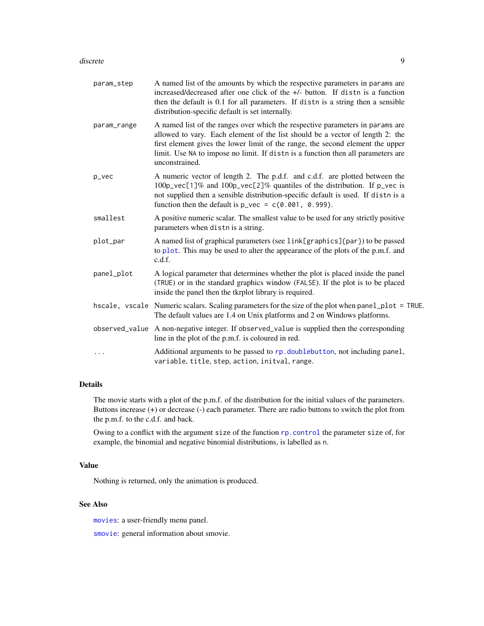#### <span id="page-8-0"></span>discrete 9

| param_step  | A named list of the amounts by which the respective parameters in params are<br>increased/decreased after one click of the +/- button. If distn is a function<br>then the default is 0.1 for all parameters. If distn is a string then a sensible<br>distribution-specific default is set internally.                                                  |
|-------------|--------------------------------------------------------------------------------------------------------------------------------------------------------------------------------------------------------------------------------------------------------------------------------------------------------------------------------------------------------|
| param_range | A named list of the ranges over which the respective parameters in params are<br>allowed to vary. Each element of the list should be a vector of length 2: the<br>first element gives the lower limit of the range, the second element the upper<br>limit. Use NA to impose no limit. If distn is a function then all parameters are<br>unconstrained. |
| p_vec       | A numeric vector of length 2. The p.d.f. and c.d.f. are plotted between the<br>100p_vec[1]% and 100p_vec[2]% quantiles of the distribution. If p_vec is<br>not supplied then a sensible distribution-specific default is used. If distn is a<br>function then the default is $p_{\text{vec}} = c(0.001, 0.999)$ .                                      |
| smallest    | A positive numeric scalar. The smallest value to be used for any strictly positive<br>parameters when distn is a string.                                                                                                                                                                                                                               |
| plot_par    | A named list of graphical parameters (see link[graphics]{par}) to be passed<br>to plot. This may be used to alter the appearance of the plots of the p.m.f. and<br>c.d.f.                                                                                                                                                                              |
| panel_plot  | A logical parameter that determines whether the plot is placed inside the panel<br>(TRUE) or in the standard graphics window (FALSE). If the plot is to be placed<br>inside the panel then the tkrplot library is required.                                                                                                                            |
|             | hscale, vscale Numeric scalars. Scaling parameters for the size of the plot when panel_plot = TRUE.<br>The default values are 1.4 on Unix platforms and 2 on Windows platforms.                                                                                                                                                                        |
|             | observed_value A non-negative integer. If observed_value is supplied then the corresponding<br>line in the plot of the p.m.f. is coloured in red.                                                                                                                                                                                                      |
| $\cdots$    | Additional arguments to be passed to rp. doublebutton, not including panel,<br>variable, title, step, action, initval, range.                                                                                                                                                                                                                          |
|             |                                                                                                                                                                                                                                                                                                                                                        |

# Details

The movie starts with a plot of the p.m.f. of the distribution for the initial values of the parameters. Buttons increase (+) or decrease (-) each parameter. There are radio buttons to switch the plot from the p.m.f. to the c.d.f. and back.

Owing to a conflict with the argument size of the function [rp.control](#page-0-0) the parameter size of, for example, the binomial and negative binomial distributions, is labelled as n.

# Value

Nothing is returned, only the animation is produced.

# See Also

[movies](#page-14-1): a user-friendly menu panel.

[smovie](#page-17-1): general information about smovie.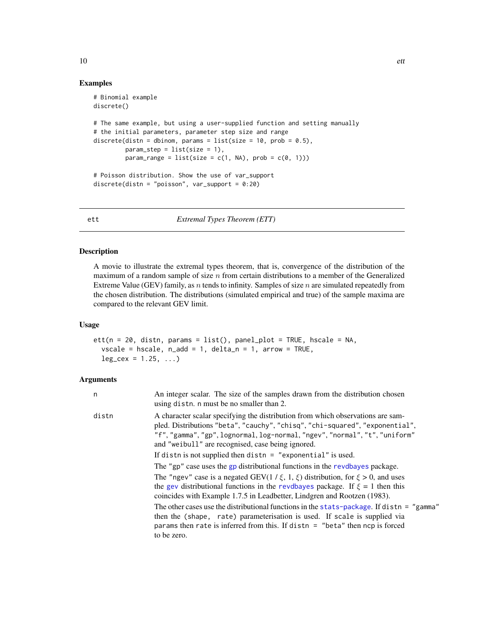# Examples

```
# Binomial example
discrete()
# The same example, but using a user-supplied function and setting manually
# the initial parameters, parameter step size and range
discrete(distn = dbinom, params = list(size = 10, prob = 0.5),
         param\_step = list(size = 1),param_range = list(size = c(1, NA), prob = c(0, 1)))
# Poisson distribution. Show the use of var_support
discrete(distn = "poisson", var_support = 0:20)
```
<span id="page-9-1"></span>ett *Extremal Types Theorem (ETT)*

# Description

A movie to illustrate the extremal types theorem, that is, convergence of the distribution of the maximum of a random sample of size  $n$  from certain distributions to a member of the Generalized Extreme Value (GEV) family, as n tends to infinity. Samples of size  $n$  are simulated repeatedly from the chosen distribution. The distributions (simulated empirical and true) of the sample maxima are compared to the relevant GEV limit.

# Usage

```
ett(n = 20, distn, params = list(), panel.plot = TRUE, hscale = NA,vscale = hscale, n\_add = 1, delta_n = 1, arrow = TRUE,leg\_cex = 1.25, ...
```

| n     | An integer scalar. The size of the samples drawn from the distribution chosen<br>using disth. n must be no smaller than 2.                                                                                                                                                                           |
|-------|------------------------------------------------------------------------------------------------------------------------------------------------------------------------------------------------------------------------------------------------------------------------------------------------------|
| distn | A character scalar specifying the distribution from which observations are sam-<br>pled. Distributions "beta", "cauchy", "chisq", "chi-squared", "exponential",<br>"f", "gamma", "gp", lognormal, log-normal, "ngev", "normal", "t", "uniform"<br>and "we ibull" are recognised, case being ignored. |
|       | If distn is not supplied then distn $=$ "exponential" is used.                                                                                                                                                                                                                                       |
|       | The "gp" case uses the gp distributional functions in the revelogyes package.                                                                                                                                                                                                                        |
|       | The "ngev" case is a negated GEV( $1/\xi$ , 1, $\xi$ ) distribution, for $\xi > 0$ , and uses<br>the gev distributional functions in the revoltages package. If $\xi = 1$ then this<br>coincides with Example 1.7.5 in Leadbetter, Lindgren and Rootzen (1983).                                      |
|       | The other cases use the distributional functions in the stats-package. If distn = "gamma"<br>then the (shape, rate) parameterisation is used. If scale is supplied via<br>params then rate is inferred from this. If distn = "beta" then $ncp$ is forced                                             |
|       | to be zero.                                                                                                                                                                                                                                                                                          |

<span id="page-9-0"></span>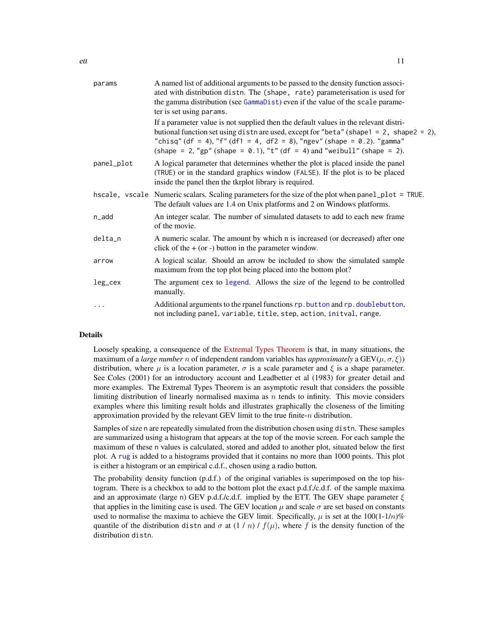<span id="page-10-0"></span>

| params     | A named list of additional arguments to be passed to the density function associ-<br>ated with distribution distn. The (shape, rate) parameterisation is used for<br>the gamma distribution (see GammaDist) even if the value of the scale parame-<br>ter is set using params.                                                           |
|------------|------------------------------------------------------------------------------------------------------------------------------------------------------------------------------------------------------------------------------------------------------------------------------------------------------------------------------------------|
|            | If a parameter value is not supplied then the default values in the relevant distri-<br>butional function set using distn are used, except for "beta" (shape1 = 2, shape2 = 2),<br>"chisq" (df = 4), "f" (df1 = 4, df2 = 8), "ngev" (shape = 0.2). "gamma"<br>(shape = 2, "gp" (shape = $0.1$ ), "t" (df = 4) and "weibull" (shape = 2). |
| panel_plot | A logical parameter that determines whether the plot is placed inside the panel<br>(TRUE) or in the standard graphics window (FALSE). If the plot is to be placed<br>inside the panel then the tkrplot library is required.                                                                                                              |
|            | hscale, vscale Numeric scalars. Scaling parameters for the size of the plot when panel_plot = TRUE.<br>The default values are 1.4 on Unix platforms and 2 on Windows platforms.                                                                                                                                                          |
| n_add      | An integer scalar. The number of simulated datasets to add to each new frame<br>of the movie.                                                                                                                                                                                                                                            |
| delta_n    | A numeric scalar. The amount by which n is increased (or decreased) after one<br>click of the $+$ (or $-$ ) button in the parameter window.                                                                                                                                                                                              |
| arrow      | A logical scalar. Should an arrow be included to show the simulated sample<br>maximum from the top plot being placed into the bottom plot?                                                                                                                                                                                               |
| leg_cex    | The argument cex to legend. Allows the size of the legend to be controlled<br>manually.                                                                                                                                                                                                                                                  |
| .          | Additional arguments to the rpanel functions rp. button and rp. doublebutton,<br>not including panel, variable, title, step, action, initval, range.                                                                                                                                                                                     |
|            |                                                                                                                                                                                                                                                                                                                                          |

# Details

Loosely speaking, a consequence of the [Extremal Types Theorem](https://en.wikipedia.org/wiki/Extreme_value_theory#Univariate_theory) is that, in many situations, the maximum of a *large number* n of independent random variables has *approximately* a  $GEV(\mu, \sigma, \xi)$ distribution, where  $\mu$  is a location parameter,  $\sigma$  is a scale parameter and  $\xi$  is a shape parameter. See Coles (2001) for an introductory account and Leadbetter et al (1983) for greater detail and more examples. The Extremal Types Theorem is an asymptotic result that considers the possible limiting distribution of linearly normalised maxima as  $n$  tends to infinity. This movie considers examples where this limiting result holds and illustrates graphically the closeness of the limiting approximation provided by the relevant GEV limit to the true finite- $n$  distribution.

Samples of size n are repeatedly simulated from the distribution chosen using distn. These samples are summarized using a histogram that appears at the top of the movie screen. For each sample the maximum of these n values is calculated, stored and added to another plot, situated below the first plot. A [rug](#page-0-0) is added to a histograms provided that it contains no more than 1000 points. This plot is either a histogram or an empirical c.d.f., chosen using a radio button.

The probability density function (p.d.f.) of the original variables is superimposed on the top histogram. There is a checkbox to add to the bottom plot the exact p.d.f./c.d.f. of the sample maxima and an approximate (large n) GEV p.d.f./c.d.f. implied by the ETT. The GEV shape parameter  $\xi$ that applies in the limiting case is used. The GEV location  $\mu$  and scale  $\sigma$  are set based on constants used to normalise the maxima to achieve the GEV limit. Specifically,  $\mu$  is set at the 100(1-1/n)% quantile of the distribution distn and  $\sigma$  at  $(1/n) / f(\mu)$ , where f is the density function of the distribution distn.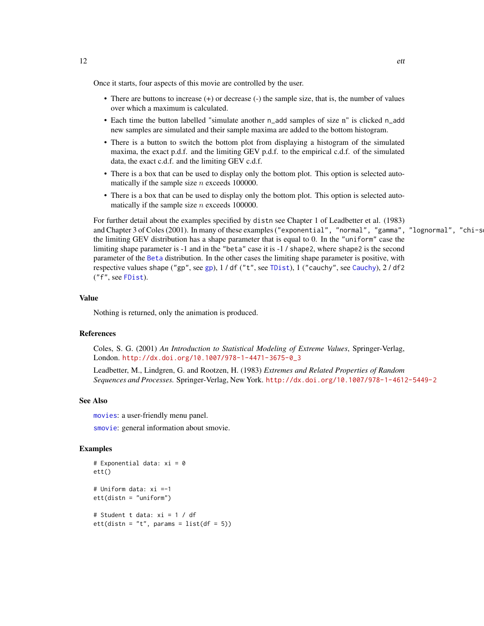<span id="page-11-0"></span>Once it starts, four aspects of this movie are controlled by the user.

- There are buttons to increase (+) or decrease (-) the sample size, that is, the number of values over which a maximum is calculated.
- Each time the button labelled "simulate another n\_add samples of size n" is clicked n\_add new samples are simulated and their sample maxima are added to the bottom histogram.
- There is a button to switch the bottom plot from displaying a histogram of the simulated maxima, the exact p.d.f. and the limiting GEV p.d.f. to the empirical c.d.f. of the simulated data, the exact c.d.f. and the limiting GEV c.d.f.
- There is a box that can be used to display only the bottom plot. This option is selected automatically if the sample size  $n$  exceeds 100000.
- There is a box that can be used to display only the bottom plot. This option is selected automatically if the sample size  $n$  exceeds 100000.

For further detail about the examples specified by distn see Chapter 1 of Leadbetter et al. (1983) and Chapter 3 of Coles (2001). In many of these examples ("exponential", "normal", "gamma", "lognormal", "chi-s the limiting GEV distribution has a shape parameter that is equal to 0. In the "uniform" case the limiting shape parameter is -1 and in the "beta" case it is -1 / shape2, where shape2 is the second parameter of the [Beta](#page-0-0) distribution. In the other cases the limiting shape parameter is positive, with respective values shape ("gp", see [gp](#page-0-0)), 1 / df ("t", see [TDist](#page-0-0)), 1 ("cauchy", see [Cauchy](#page-0-0)), 2 / df2 ("f", see [FDist](#page-0-0)).

#### Value

Nothing is returned, only the animation is produced.

# References

Coles, S. G. (2001) *An Introduction to Statistical Modeling of Extreme Values*, Springer-Verlag, London. [http://dx.doi.org/10.1007/978-1-4471-3675-0\\_3](http://dx.doi.org/10.1007/978-1-4471-3675-0_3)

Leadbetter, M., Lindgren, G. and Rootzen, H. (1983) *Extremes and Related Properties of Random Sequences and Processes.* Springer-Verlag, New York. <http://dx.doi.org/10.1007/978-1-4612-5449-2>

# See Also

[movies](#page-14-1): a user-friendly menu panel.

[smovie](#page-17-1): general information about smovie.

# Examples

```
# Exponential data: xi = 0
ett()
# Uniform data: xi =-1
ett(distn = "uniform")
# Student t data: xi = 1 / df
ett(distn = "t", params = list(df = 5))
```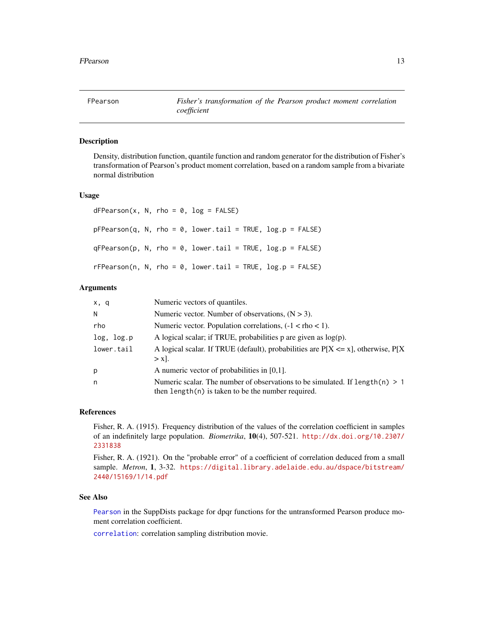<span id="page-12-0"></span>

# Description

Density, distribution function, quantile function and random generator for the distribution of Fisher's transformation of Pearson's product moment correlation, based on a random sample from a bivariate normal distribution

# Usage

|  |  | $dFPearson(x, N, rho = 0, log = FALSE)$                       |  |  |
|--|--|---------------------------------------------------------------|--|--|
|  |  | pFPearson(q, N, rho = 0, lower.tail = TRUE, log.p = FALSE)    |  |  |
|  |  | qFPearson(p, N, rho = 0, lower.tail = TRUE, log.p = FALSE)    |  |  |
|  |  | $r$ FPearson(n, N, rho = 0, lower.tail = TRUE, log.p = FALSE) |  |  |

# **Arguments**

| x, q       | Numeric vectors of quantiles.                                                                                                          |
|------------|----------------------------------------------------------------------------------------------------------------------------------------|
| N          | Numeric vector. Number of observations, $(N > 3)$ .                                                                                    |
| rho        | Numeric vector. Population correlations, $(-1 <$ rho $< 1$ ).                                                                          |
| log, log.p | A logical scalar; if TRUE, probabilities $p$ are given as $log(p)$ .                                                                   |
| lower.tail | A logical scalar. If TRUE (default), probabilities are $P[X \le x]$ , otherwise, $P[X]$<br>$> x$ .                                     |
| p          | A numeric vector of probabilities in $[0,1]$ .                                                                                         |
| n          | Numeric scalar. The number of observations to be simulated. If $length(n) > 1$<br>then $length(n)$ is taken to be the number required. |

#### References

Fisher, R. A. (1915). Frequency distribution of the values of the correlation coefficient in samples of an indefinitely large population. *Biometrika*, 10(4), 507-521. [http://dx.doi.org/10.2307/](http://dx.doi.org/10.2307/2331838) [2331838](http://dx.doi.org/10.2307/2331838)

Fisher, R. A. (1921). On the "probable error" of a coefficient of correlation deduced from a small sample. *Metron*, 1, 3-32. [https://digital.library.adelaide.edu.au/dspace/bitstream/](https://digital.library.adelaide.edu.au/dspace/bitstream/2440/15169/1/14.pdf) [2440/15169/1/14.pdf](https://digital.library.adelaide.edu.au/dspace/bitstream/2440/15169/1/14.pdf)

# See Also

[Pearson](#page-0-0) in the SuppDists package for dpqr functions for the untransformed Pearson produce moment correlation coefficient.

[correlation](#page-5-1): correlation sampling distribution movie.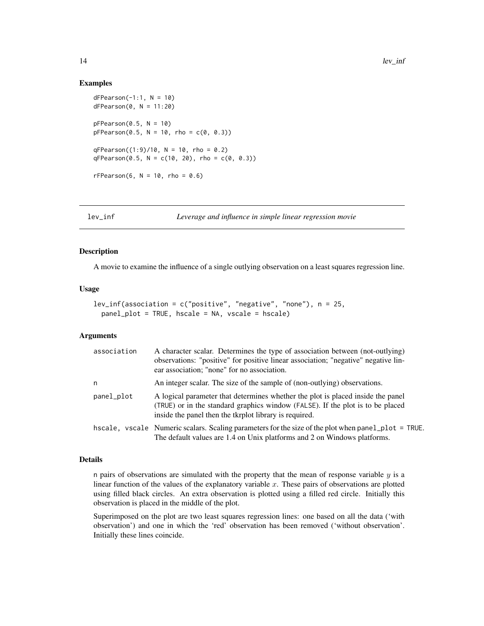# Examples

```
dFPearson(-1:1, N = 10)dFPearson(0, N = 11:20)pFPearson(0.5, N = 10)pFPearson(0.5, N = 10, rho = c(0, 0.3))
qFPearson((1:9)/10, N = 10, rho = 0.2)qFPearson(0.5, N = c(10, 20), rho = c(0, 0.3))rFPearson(6, N = 10, rho = 0.6)
```
<span id="page-13-1"></span>

lev\_inf *Leverage and influence in simple linear regression movie*

# Description

A movie to examine the influence of a single outlying observation on a least squares regression line.

## Usage

```
lev_inf(association = c("positive", "negative", "none"), n = 25,
 panel_plot = TRUE, hscale = NA, vscale = hscale)
```
# Arguments

| association | A character scalar. Determines the type of association between (not-outlying)<br>observations: "positive" for positive linear association; "negative" negative lin-<br>ear association; "none" for no association.          |
|-------------|-----------------------------------------------------------------------------------------------------------------------------------------------------------------------------------------------------------------------------|
| n           | An integer scalar. The size of the sample of (non-outlying) observations.                                                                                                                                                   |
| panel_plot  | A logical parameter that determines whether the plot is placed inside the panel<br>(TRUE) or in the standard graphics window (FALSE). If the plot is to be placed<br>inside the panel then the tkrplot library is required. |
|             | hscale, vscale Numeric scalars. Scaling parameters for the size of the plot when panel_plot = TRUE.<br>The default values are 1.4 on Unix platforms and 2 on Windows platforms.                                             |

#### Details

n pairs of observations are simulated with the property that the mean of response variable  $y$  is a linear function of the values of the explanatory variable  $x$ . These pairs of observations are plotted using filled black circles. An extra observation is plotted using a filled red circle. Initially this observation is placed in the middle of the plot.

Superimposed on the plot are two least squares regression lines: one based on all the data ('with observation') and one in which the 'red' observation has been removed ('without observation'. Initially these lines coincide.

<span id="page-13-0"></span>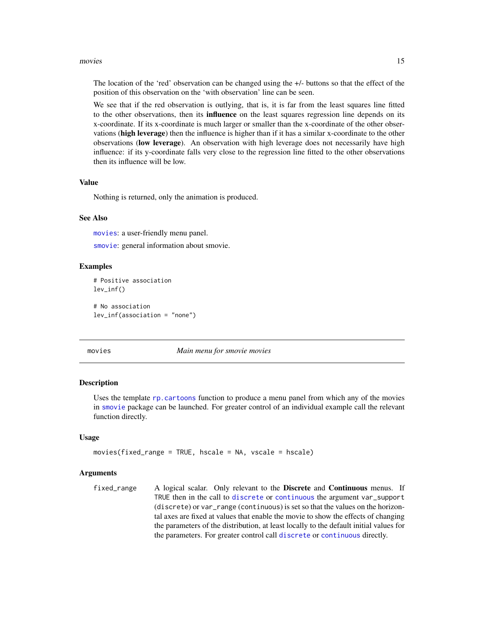#### <span id="page-14-0"></span>movies and the state of the state of the state of the state of the state of the state of the state of the state of the state of the state of the state of the state of the state of the state of the state of the state of the

The location of the 'red' observation can be changed using the +/- buttons so that the effect of the position of this observation on the 'with observation' line can be seen.

We see that if the red observation is outlying, that is, it is far from the least squares line fitted to the other observations, then its **influence** on the least squares regression line depends on its x-coordinate. If its x-coordinate is much larger or smaller than the x-coordinate of the other observations (high leverage) then the influence is higher than if it has a similar x-coordinate to the other observations (low leverage). An observation with high leverage does not necessarily have high influence: if its y-coordinate falls very close to the regression line fitted to the other observations then its influence will be low.

# Value

Nothing is returned, only the animation is produced.

# See Also

[movies](#page-14-1): a user-friendly menu panel.

[smovie](#page-17-1): general information about smovie.

# Examples

```
# Positive association
lev_inf()
# No association
lev_inf(association = "none")
```
<span id="page-14-1"></span>

movies *Main menu for smovie movies*

# Description

Uses the template [rp.cartoons](#page-0-0) function to produce a menu panel from which any of the movies in [smovie](#page-17-1) package can be launched. For greater control of an individual example call the relevant function directly.

#### Usage

```
movies(fixed_range = TRUE, hscale = NA, vscale = hscale)
```
#### Arguments

fixed\_range A logical scalar. Only relevant to the Discrete and Continuous menus. If TRUE then in the call to [discrete](#page-7-1) or [continuous](#page-3-1) the argument var\_support (discrete) or var\_range (continuous) is set so that the values on the horizontal axes are fixed at values that enable the movie to show the effects of changing the parameters of the distribution, at least locally to the default initial values for the parameters. For greater control call [discrete](#page-7-1) or [continuous](#page-3-1) directly.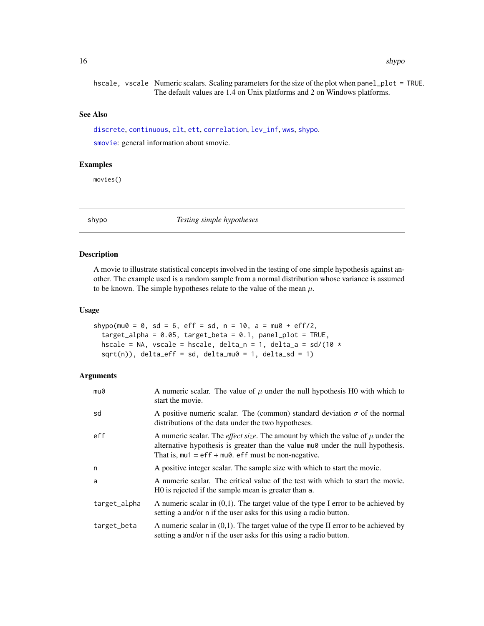<span id="page-15-0"></span>hscale, vscale Numeric scalars. Scaling parameters for the size of the plot when panel\_plot = TRUE. The default values are 1.4 on Unix platforms and 2 on Windows platforms.

#### See Also

[discrete](#page-7-1), [continuous](#page-3-1), [clt](#page-1-1), [ett](#page-9-1), [correlation](#page-5-1), [lev\\_inf](#page-13-1), [wws](#page-18-1), [shypo](#page-15-1).

[smovie](#page-17-1): general information about smovie.

# Examples

movies()

<span id="page-15-1"></span>

shypo *Testing simple hypotheses*

# Description

A movie to illustrate statistical concepts involved in the testing of one simple hypothesis against another. The example used is a random sample from a normal distribution whose variance is assumed to be known. The simple hypotheses relate to the value of the mean  $\mu$ .

# Usage

```
shypo(mu0 = 0, sd = 6, eff = sd, n = 10, a = mu0 + eff/2,
  target_alpha = 0.05, target_beta = 0.1, panel_plot = TRUE,
  hscale = NA, vscale = hscale, delta_n = 1, delta_a = sd/(10 \starsqrt(n), delta_eff = sd, delta_mu0 = 1, delta_sd = 1)
```

| mu0          | A numeric scalar. The value of $\mu$ under the null hypothesis H0 with which to<br>start the movie.                                                                                                                                      |
|--------------|------------------------------------------------------------------------------------------------------------------------------------------------------------------------------------------------------------------------------------------|
| sd           | A positive numeric scalar. The (common) standard deviation $\sigma$ of the normal<br>distributions of the data under the two hypotheses.                                                                                                 |
| eff          | A numeric scalar. The <i>effect size</i> . The amount by which the value of $\mu$ under the<br>alternative hypothesis is greater than the value muo under the null hypothesis.<br>That is, $mu1 = eff + mu0$ . eff must be non-negative. |
| n            | A positive integer scalar. The sample size with which to start the movie.                                                                                                                                                                |
| a            | A numeric scalar. The critical value of the test with which to start the movie.<br>HO is rejected if the sample mean is greater than a.                                                                                                  |
| target_alpha | A numeric scalar in $(0,1)$ . The target value of the type I error to be achieved by<br>setting a and/or n if the user asks for this using a radio button.                                                                               |
| target_beta  | A numeric scalar in $(0,1)$ . The target value of the type II error to be achieved by<br>setting a and/or n if the user asks for this using a radio button.                                                                              |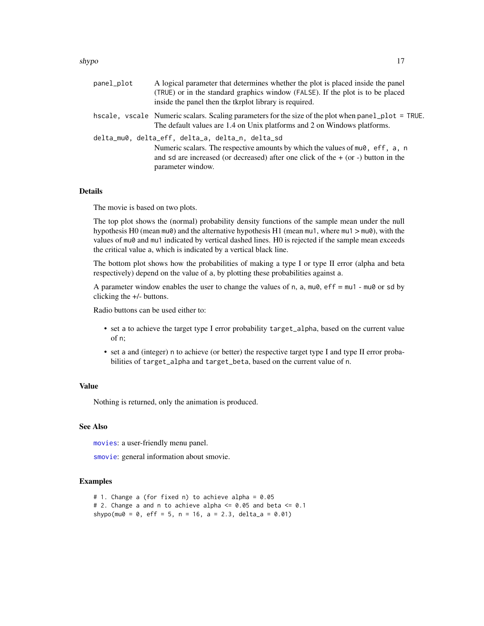#### <span id="page-16-0"></span>shypo 17

| panel_plot | A logical parameter that determines whether the plot is placed inside the panel<br>(TRUE) or in the standard graphics window (FALSE). If the plot is to be placed<br>inside the panel then the tkrplot library is required. |
|------------|-----------------------------------------------------------------------------------------------------------------------------------------------------------------------------------------------------------------------------|
|            | hscale, vscale Numeric scalars. Scaling parameters for the size of the plot when panel_plot = TRUE.<br>The default values are 1.4 on Unix platforms and 2 on Windows platforms.                                             |
|            | delta_mu0, delta_eff, delta_a, delta_n, delta_sd                                                                                                                                                                            |
|            | Numeric scalars. The respective amounts by which the values of $mu0$ , eff, a, n<br>and sd are increased (or decreased) after one click of the $+$ (or -) button in the<br>parameter window.                                |

# Details

The movie is based on two plots.

The top plot shows the (normal) probability density functions of the sample mean under the null hypothesis H0 (mean mu0) and the alternative hypothesis H1 (mean mu1, where mu1 > mu0), with the values of mu0 and mu1 indicated by vertical dashed lines. H0 is rejected if the sample mean exceeds the critical value a, which is indicated by a vertical black line.

The bottom plot shows how the probabilities of making a type I or type II error (alpha and beta respectively) depend on the value of a, by plotting these probabilities against a.

A parameter window enables the user to change the values of n, a,  $mu0$ , eff =  $mu1$  -  $mu0$  or sd by clicking the +/- buttons.

Radio buttons can be used either to:

- set a to achieve the target type I error probability target\_alpha, based on the current value of n;
- set a and (integer) n to achieve (or better) the respective target type I and type II error probabilities of target\_alpha and target\_beta, based on the current value of n.

# Value

Nothing is returned, only the animation is produced.

# See Also

[movies](#page-14-1): a user-friendly menu panel.

[smovie](#page-17-1): general information about smovie.

# Examples

```
# 1. Change a (for fixed n) to achieve alpha = 0.05
# 2. Change a and n to achieve alpha \leq 0.05 and beta \leq 0.1
shypo(mu0 = 0, eff = 5, n = 16, a = 2.3, delta_a = 0.01)
```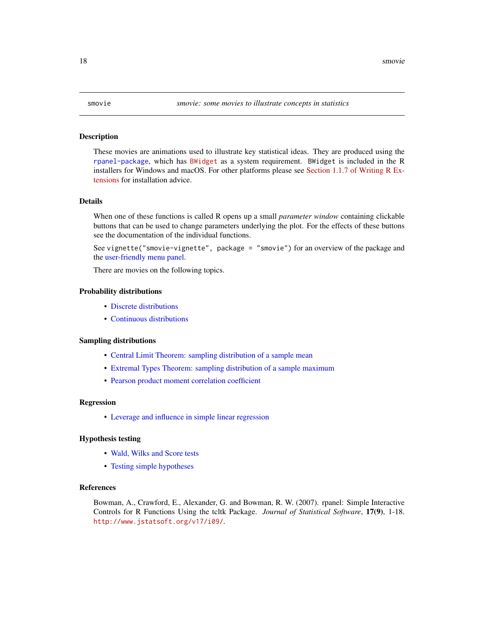# <span id="page-17-1"></span><span id="page-17-0"></span>Description

These movies are animations used to illustrate key statistical ideas. They are produced using the [rpanel-package](#page-0-0), which has [BWidget](https://sourceforge.net/projects/tcllib/files/BWidget/) as a system requirement. BWidget is included in the R installers for Windows and macOS. For other platforms please see [Section 1.1.7 of Writing R Ex](https://cran.r-project.org/doc/manuals/r-devel/R-exts.html#Non_002dR-scripts-in-packages)[tensions](https://cran.r-project.org/doc/manuals/r-devel/R-exts.html#Non_002dR-scripts-in-packages) for installation advice.

# Details

When one of these functions is called R opens up a small *parameter window* containing clickable buttons that can be used to change parameters underlying the plot. For the effects of these buttons see the documentation of the individual functions.

See vignette("smovie-vignette", package = "smovie") for an overview of the package and the [user-friendly menu panel.](#page-14-1)

There are movies on the following topics.

# Probability distributions

- [Discrete distributions](#page-7-1)
- [Continuous distributions](#page-3-1)

#### Sampling distributions

- [Central Limit Theorem: sampling distribution of a sample mean](#page-1-1)
- [Extremal Types Theorem: sampling distribution of a sample maximum](#page-9-1)
- [Pearson product moment correlation coefficient](#page-5-1)

#### Regression

• [Leverage and influence in simple linear regression](#page-13-1)

# Hypothesis testing

- [Wald, Wilks and Score tests](#page-18-1)
- [Testing simple hypotheses](#page-15-1)

# References

Bowman, A., Crawford, E., Alexander, G. and Bowman, R. W. (2007). rpanel: Simple Interactive Controls for R Functions Using the tcltk Package. *Journal of Statistical Software*, 17(9), 1-18. <http://www.jstatsoft.org/v17/i09/>.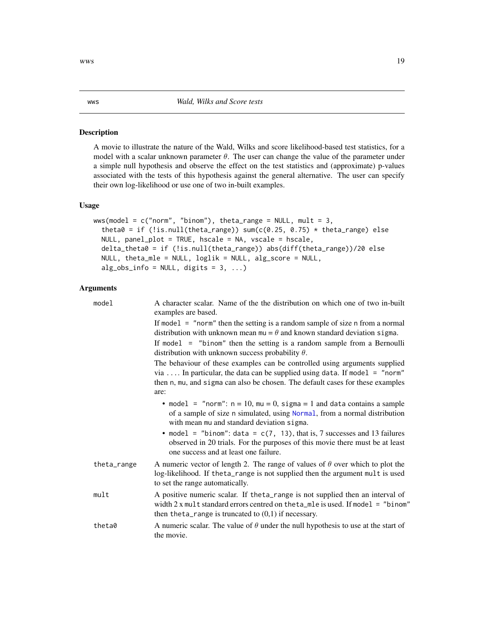# Description

A movie to illustrate the nature of the Wald, Wilks and score likelihood-based test statistics, for a model with a scalar unknown parameter  $\theta$ . The user can change the value of the parameter under a simple null hypothesis and observe the effect on the test statistics and (approximate) p-values associated with the tests of this hypothesis against the general alternative. The user can specify their own log-likelihood or use one of two in-built examples.

# Usage

```
wws(model = c("norm", "binom"); theta_range = NULL, mult = 3,
  theta0 = if (!is.null(theta_range)) sum(c(0.25, 0.75) * theta_range) else
 NULL, panel_plot = TRUE, hscale = NA, vscale = hscale,
 delta_theta0 = if (!is.null(theta_range)) abs(diff(theta_range))/20 else
 NULL, theta_mle = NULL, loglik = NULL, alg_score = NULL,
 alg\_obs\_info = NULL, digits = 3, ...)
```
# Arguments

| model       | A character scalar. Name of the the distribution on which one of two in-built<br>examples are based.                                                                                                                                                 |
|-------------|------------------------------------------------------------------------------------------------------------------------------------------------------------------------------------------------------------------------------------------------------|
|             | If model $=$ "norm" then the setting is a random sample of size n from a normal<br>distribution with unknown mean $mu = \theta$ and known standard deviation sigma.                                                                                  |
|             | If model $=$ "binom" then the setting is a random sample from a Bernoulli<br>distribution with unknown success probability $\theta$ .                                                                                                                |
|             | The behaviour of these examples can be controlled using arguments supplied<br>via  In particular, the data can be supplied using data. If model $=$ "norm"<br>then n, mu, and sigma can also be chosen. The default cases for these examples<br>are: |
|             | • model = "norm": $n = 10$ , $mu = 0$ , sigma = 1 and data contains a sample<br>of a sample of size n simulated, using Normal, from a normal distribution<br>with mean mu and standard deviation sigma.                                              |
|             | • model = "binom": data = $c(7, 13)$ , that is, 7 successes and 13 failures<br>observed in 20 trials. For the purposes of this movie there must be at least<br>one success and at least one failure.                                                 |
| theta_range | A numeric vector of length 2. The range of values of $\theta$ over which to plot the<br>log-likelihood. If theta_range is not supplied then the argument mult is used<br>to set the range automatically.                                             |
| mult        | A positive numeric scalar. If the ta_range is not supplied then an interval of<br>width $2x$ mult standard errors centred on the ta_mle is used. If model = "binom"<br>then the ta_range is truncated to $(0,1)$ if necessary.                       |
| theta0      | A numeric scalar. The value of $\theta$ under the null hypothesis to use at the start of<br>the movie.                                                                                                                                               |

<span id="page-18-1"></span><span id="page-18-0"></span> $wws$  19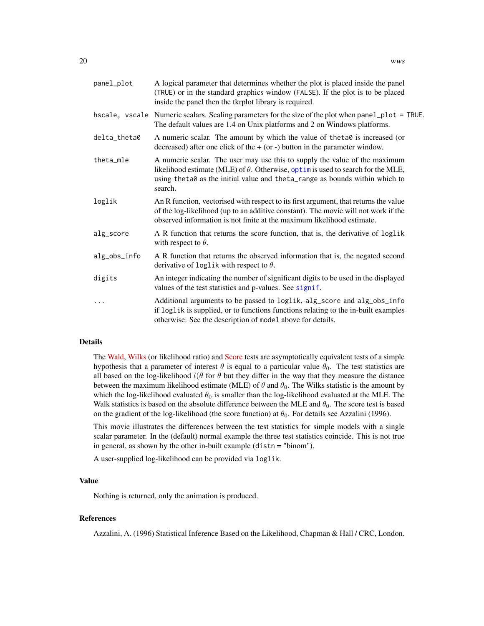<span id="page-19-0"></span>

| panel_plot   | A logical parameter that determines whether the plot is placed inside the panel<br>(TRUE) or in the standard graphics window (FALSE). If the plot is to be placed<br>inside the panel then the tkrplot library is required.                                    |
|--------------|----------------------------------------------------------------------------------------------------------------------------------------------------------------------------------------------------------------------------------------------------------------|
|              | hscale, vscale Numeric scalars. Scaling parameters for the size of the plot when panel_plot = TRUE.<br>The default values are 1.4 on Unix platforms and 2 on Windows platforms.                                                                                |
| delta_theta0 | A numeric scalar. The amount by which the value of the ta $\theta$ is increased (or<br>decreased) after one click of the $+$ (or -) button in the parameter window.                                                                                            |
| theta_mle    | A numeric scalar. The user may use this to supply the value of the maximum<br>likelihood estimate (MLE) of $\theta$ . Otherwise, optimis used to search for the MLE,<br>using theta0 as the initial value and theta_range as bounds within which to<br>search. |
| loglik       | An R function, vectorised with respect to its first argument, that returns the value<br>of the log-likelihood (up to an additive constant). The movie will not work if the<br>observed information is not finite at the maximum likelihood estimate.           |
| alg_score    | A R function that returns the score function, that is, the derivative of loglik<br>with respect to $\theta$ .                                                                                                                                                  |
| alg_obs_info | A R function that returns the observed information that is, the negated second<br>derivative of loglik with respect to $\theta$ .                                                                                                                              |
| digits       | An integer indicating the number of significant digits to be used in the displayed<br>values of the test statistics and p-values. See signif.                                                                                                                  |
| .            | Additional arguments to be passed to loglik, alg_score and alg_obs_info<br>if loglik is supplied, or to functions functions relating to the in-built examples<br>otherwise. See the description of model above for details.                                    |
|              |                                                                                                                                                                                                                                                                |

# Details

The [Wald,](https://en.wikipedia.org/wiki/Wald_test) [Wilks](https://en.wikipedia.org/wiki/Likelihood-ratio_test) (or likelihood ratio) and [Score](https://en.wikipedia.org/wiki/Score_test) tests are asymptotically equivalent tests of a simple hypothesis that a parameter of interest  $\theta$  is equal to a particular value  $\theta_0$ . The test statistics are all based on the log-likelihood  $l(\theta$  for  $\theta$  but they differ in the way that they measure the distance between the maximum likelihood estimate (MLE) of  $\theta$  and  $\theta_0$ . The Wilks statistic is the amount by which the log-likelihood evaluated  $\theta_0$  is smaller than the log-likelihood evaluated at the MLE. The Walk statistics is based on the absolute difference between the MLE and  $\theta_0$ . The score test is based on the gradient of the log-likelihood (the score function) at  $\theta_0$ . For details see Azzalini (1996).

This movie illustrates the differences between the test statistics for simple models with a single scalar parameter. In the (default) normal example the three test statistics coincide. This is not true in general, as shown by the other in-built example (distn = "binom").

A user-supplied log-likelihood can be provided via loglik.

#### Value

Nothing is returned, only the animation is produced.

# References

Azzalini, A. (1996) Statistical Inference Based on the Likelihood, Chapman & Hall / CRC, London.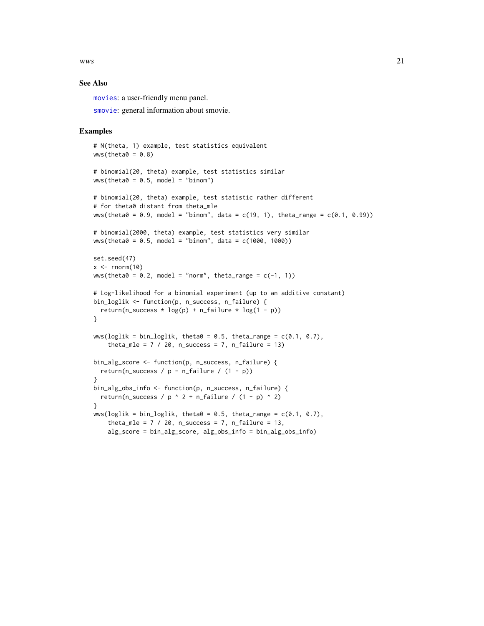<span id="page-20-0"></span> $wws$  21

# See Also

[movies](#page-14-1): a user-friendly menu panel.

[smovie](#page-17-1): general information about smovie.

# Examples

```
# N(theta, 1) example, test statistics equivalent
wws(theta0 = 0.8)
# binomial(20, theta) example, test statistics similar
wws(theta0 = 0.5, model = "binom")# binomial(20, theta) example, test statistic rather different
# for theta0 distant from theta_mle
wws(theta\theta = 0.9, model = "binom", data = c(19, 1), theta_range = c(0.1, 0.99))
# binomial(2000, theta) example, test statistics very similar
wws(theta0 = 0.5, model = "binom", data = c(1000, 1000))
set.seed(47)
x < - rnorm(10)
wws(theta0 = 0.2, model = "norm", theta_range = c(-1, 1))
# Log-likelihood for a binomial experiment (up to an additive constant)
bin_loglik <- function(p, n_success, n_failure) {
  return(n_success * log(p) + n_failure * log(1 - p))
}
wws(loglik = bin_loglik, theta0 = 0.5, theta_range = c(0.1, 0.7),theta_mle = 7 / 20, n_success = 7, n_failure = 13)
bin_alg_score <- function(p, n_success, n_failure) {
  return(n_success / p - n_failure / (1 - p))
}
bin_alg_obs_info <- function(p, n_success, n_failure) {
  return(n_success / p ^ 2 + n_failure / (1 - p) ^ 2)
}
wws(loglik = bin_loglik, theta0 = 0.5, theta_range = c(0.1, 0.7),
    theta_mle = 7 / 20, n_success = 7, n_failure = 13,
    alg_score = bin_alg_score, alg_obs_info = bin_alg_obs_info)
```